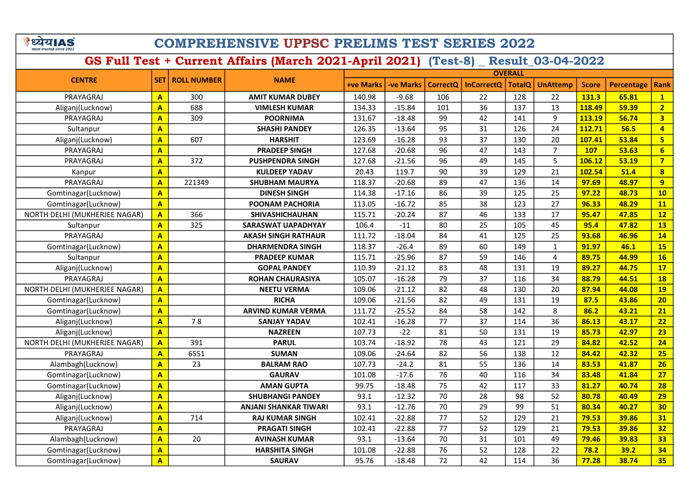े ध्येय AS

## COMPREHENSIVE UPPSC PRELIMS TEST SERIES 2022

|                               |                         | <b>ROLL NUMBER</b> | <b>NAME</b>                  | <b>OVERALL</b>   |                  |                 |                   |               |                 |              |                   |                         |
|-------------------------------|-------------------------|--------------------|------------------------------|------------------|------------------|-----------------|-------------------|---------------|-----------------|--------------|-------------------|-------------------------|
| <b>CENTRE</b>                 | <b>SET</b>              |                    |                              | <b>+ve Marks</b> | <b>-ve Marks</b> | <b>CorrectO</b> | <b>InCorrectQ</b> | <b>TotalQ</b> | <b>UnAttemp</b> | <b>Score</b> | <b>Percentage</b> | Rank                    |
| PRAYAGRAJ                     | $\mathbf{A}$            | 300                | <b>AMIT KUMAR DUBEY</b>      | 140.98           | $-9.68$          | 106             | 22                | 128           | 22              | 131.3        | 65.81             | $\mathbf{1}$            |
| Aliganj(Lucknow)              | $\mathbf{A}$            | 688                | <b>VIMLESH KUMAR</b>         | 134.33           | $-15.84$         | 101             | 36                | 137           | 13              | 118.49       | 59.39             | 2 <sub>2</sub>          |
| PRAYAGRAJ                     | $\mathbf{A}$            | 309                | <b>POORNIMA</b>              | 131.67           | $-18.48$         | 99              | 42                | 141           | 9               | 113.19       | 56.74             | $\overline{\mathbf{3}}$ |
| Sultanpur                     | $\overline{\mathbf{A}}$ |                    | <b>SHASHI PANDEY</b>         | 126.35           | $-13.64$         | 95              | 31                | 126           | 24              | 112.71       | 56.5              | $\overline{4}$          |
| Aliganj(Lucknow)              | $\mathbf{A}$            | 607                | <b>HARSHIT</b>               | 123.69           | $-16.28$         | 93              | 37                | 130           | 20              | 107.41       | 53.84             | $5\phantom{a}$          |
| PRAYAGRAJ                     | $\mathbf{A}$            |                    | <b>PRADEEP SINGH</b>         | 127.68           | $-20.68$         | 96              | 47                | 143           | $\overline{7}$  | 107          | 53.63             | $6\overline{}$          |
| PRAYAGRAJ                     | $\overline{\mathbf{A}}$ | 372                | <b>PUSHPENDRA SINGH</b>      | 127.68           | $-21.56$         | 96              | 49                | 145           | 5               | 106.12       | 53.19             | $\overline{7}$          |
| Kanpur                        | $\overline{\mathbf{A}}$ |                    | KULDEEP YADAV                | 20.43            | 119.7            | 90              | 39                | 129           | 21              | 102.54       | 51.4              | $\overline{\mathbf{8}}$ |
| PRAYAGRAJ                     | $\overline{\mathbf{A}}$ | 221349             | <b>SHUBHAM MAURYA</b>        | 118.37           | $-20.68$         | 89              | 47                | 136           | 14              | 97.69        | 48.97             | 9 <sup>°</sup>          |
| Gomtinagar(Lucknow)           | $\mathbf{A}$            |                    | <b>DINESH SINGH</b>          | 114.38           | $-17.16$         | 86              | 39                | 125           | 25              | 97.22        | 48.73             | 10                      |
| Gomtinagar(Lucknow)           | $\mathbf{A}$            |                    | POONAM PACHORIA              | 113.05           | $-16.72$         | 85              | 38                | 123           | 27              | 96.33        | 48.29             | 11                      |
| NORTH DELHI (MUKHERJEE NAGAR) | $\mathbf{A}$            | 366                | <b>SHIVASHICHAUHAN</b>       | 115.71           | $-20.24$         | 87              | 46                | 133           | 17              | 95.47        | 47.85             | 12                      |
| Sultanpur                     | $\mathbf{A}$            | 325                | <b>SARASWAT UAPADHYAY</b>    | 106.4            | $-11$            | 80              | 25                | 105           | 45              | 95.4         | 47.82             | 13                      |
| PRAYAGRAJ                     | $\overline{\mathbf{A}}$ |                    | <b>AKASH SINGH RATHAUR</b>   | 111.72           | $-18.04$         | 84              | 41                | 125           | 25              | 93.68        | 46.96             | 14                      |
| Gomtinagar(Lucknow)           | $\overline{\mathbf{A}}$ |                    | <b>DHARMENDRA SINGH</b>      | 118.37           | $-26.4$          | 89              | 60                | 149           | $\mathbf{1}$    | 91.97        | 46.1              | 15                      |
| Sultanpur                     | $\overline{\mathbf{A}}$ |                    | <b>PRADEEP KUMAR</b>         | 115.71           | $-25.96$         | 87              | 59                | 146           | $\overline{4}$  | 89.75        | 44.99             | 16                      |
| Aliganj(Lucknow)              | $\mathbf{A}$            |                    | <b>GOPAL PANDEY</b>          | 110.39           | $-21.12$         | 83              | 48                | 131           | 19              | 89.27        | 44.75             | 17                      |
| PRAYAGRAJ                     | $\overline{\mathbf{A}}$ |                    | <b>ROHAN CHAURASIYA</b>      | 105.07           | $-16.28$         | 79              | 37                | 116           | 34              | 88.79        | 44.51             | <b>18</b>               |
| NORTH DELHI (MUKHERJEE NAGAR) | $\mathbf{A}$            |                    | <b>NEETU VERMA</b>           | 109.06           | $-21.12$         | 82              | 48                | 130           | 20              | 87.94        | 44.08             | <b>19</b>               |
| Gomtinagar(Lucknow)           | $\overline{\mathbf{A}}$ |                    | <b>RICHA</b>                 | 109.06           | $-21.56$         | 82              | 49                | 131           | 19              | 87.5         | 43.86             | 20                      |
| Gomtinagar(Lucknow)           | $\mathbf{A}$            |                    | <b>ARVIND KUMAR VERMA</b>    | 111.72           | $-25.52$         | 84              | 58                | 142           | 8               | 86.2         | 43.21             | 21                      |
| Aliganj(Lucknow)              | $\overline{\mathbf{A}}$ | 78                 | <b>SANJAY YADAV</b>          | 102.41           | $-16.28$         | 77              | 37                | 114           | 36              | 86.13        | 43.17             | 22                      |
| Aliganj(Lucknow)              | $\mathbf{A}$            |                    | <b>NAZREEN</b>               | 107.73           | $-22$            | 81              | 50                | 131           | 19              | 85.73        | 42.97             | 23                      |
| NORTH DELHI (MUKHERJEE NAGAR) | $\overline{A}$          | 391                | <b>PARUL</b>                 | 103.74           | $-18.92$         | 78              | 43                | 121           | 29              | 84.82        | 42.52             | 24                      |
| PRAYAGRAJ                     | $\mathbf{A}$            | 6551               | <b>SUMAN</b>                 | 109.06           | $-24.64$         | 82              | 56                | 138           | 12              | 84.42        | 42.32             | 25                      |
| Alambagh(Lucknow)             | $\overline{A}$          | 23                 | <b>BALRAM RAO</b>            | 107.73           | $-24.2$          | 81              | 55                | 136           | 14              | 83.53        | 41.87             | 26                      |
| Gomtinagar(Lucknow)           | $\mathbf{A}$            |                    | <b>GAURAV</b>                | 101.08           | $-17.6$          | 76              | 40                | 116           | 34              | 83.48        | 41.84             | 27                      |
| Gomtinagar(Lucknow)           | $\overline{A}$          |                    | <b>AMAN GUPTA</b>            | 99.75            | $-18.48$         | 75              | 42                | 117           | 33              | 81.27        | 40.74             | 28                      |
| Aliganj(Lucknow)              | $\overline{\mathbf{A}}$ |                    | <b>SHUBHANGI PANDEY</b>      | 93.1             | $-12.32$         | 70              | 28                | 98            | 52              | 80.78        | 40.49             | 29                      |
| Aliganj(Lucknow)              | $\overline{\mathbf{A}}$ |                    | <b>ANJANI SHANKAR TIWARI</b> | 93.1             | $-12.76$         | 70              | 29                | 99            | 51              | 80.34        | 40.27             | 30                      |
| Aliganj(Lucknow)              | $\mathbf{A}$            | 714                | <b>RAJ KUMAR SINGH</b>       | 102.41           | $-22.88$         | 77              | 52                | 129           | 21              | 79.53        | 39.86             | 31                      |
| PRAYAGRAJ                     | $\overline{A}$          |                    | <b>PRAGATI SINGH</b>         | 102.41           | $-22.88$         | 77              | 52                | 129           | 21              | 79.53        | 39.86             | 32                      |
| Alambagh(Lucknow)             | $\mathbf{A}$            | 20                 | <b>AVINASH KUMAR</b>         | 93.1             | $-13.64$         | 70              | 31                | 101           | 49              | 79.46        | 39.83             | 33                      |
| Gomtinagar(Lucknow)           | $\overline{\mathsf{A}}$ |                    | <b>HARSHITA SINGH</b>        | 101.08           | $-22.88$         | 76              | 52                | 128           | 22              | 78.2         | 39.2              | 34                      |
| Gomtinagar(Lucknow)           | $\overline{\mathbf{A}}$ |                    | <b>SAURAV</b>                | 95.76            | $-18.48$         | 72              | 42                | 114           | 36              | 77.28        | 38.74             | 35                      |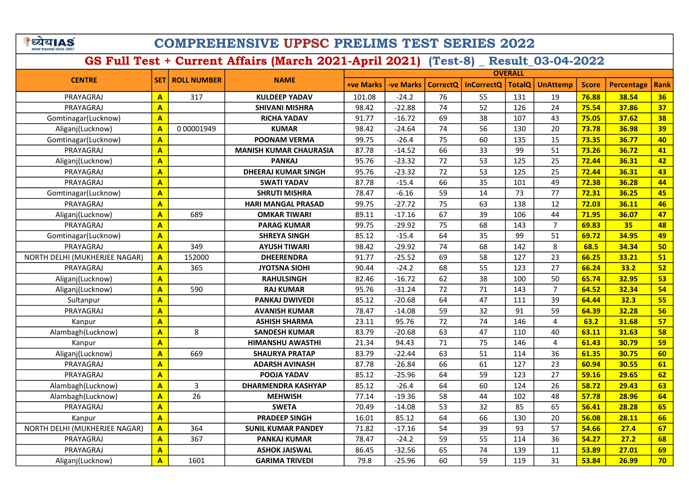े ध्येय AS

## COMPREHENSIVE UPPSC PRELIMS TEST SERIES 2022

|                               |                         | <b>ROLL NUMBER</b> | <b>NAME</b>                   | <b>OVERALL</b>   |           |                 |                       |               |                         |              |            |      |  |
|-------------------------------|-------------------------|--------------------|-------------------------------|------------------|-----------|-----------------|-----------------------|---------------|-------------------------|--------------|------------|------|--|
| <b>CENTRE</b>                 | <b>SET</b>              |                    |                               | <b>+ve Marks</b> | -ve Marks |                 | CorrectQ   InCorrectQ | <b>TotalQ</b> | <b>UnAttemp</b>         | <b>Score</b> | Percentage | Rank |  |
| PRAYAGRAJ                     | $\overline{A}$          | 317                | <b>KULDEEP YADAV</b>          | 101.08           | $-24.2$   | 76              | 55                    | 131           | 19                      | 76.88        | 38.54      | 36   |  |
| PRAYAGRAJ                     | $\overline{A}$          |                    | <b>SHIVANI MISHRA</b>         | 98.42            | $-22.88$  | 74              | 52                    | 126           | 24                      | 75.54        | 37.86      | 37   |  |
| Gomtinagar(Lucknow)           | $\overline{A}$          |                    | <b>RICHA YADAV</b>            | 91.77            | $-16.72$  | 69              | 38                    | 107           | 43                      | 75.05        | 37.62      | 38   |  |
| Aliganj(Lucknow)              | $\overline{A}$          | 0 00001949         | <b>KUMAR</b>                  | 98.42            | $-24.64$  | 74              | 56                    | 130           | 20                      | 73.78        | 36.98      | 39   |  |
| Gomtinagar(Lucknow)           | $\mathbf{A}$            |                    | <b>POONAM VERMA</b>           | 99.75            | $-26.4$   | 75              | 60                    | 135           | 15                      | 73.35        | 36.77      | 40   |  |
| PRAYAGRAJ                     | $\overline{A}$          |                    | <b>MANISH KUMAR CHAURASIA</b> | 87.78            | $-14.52$  | 66              | 33                    | 99            | 51                      | 73.26        | 36.72      | 41   |  |
| Aliganj(Lucknow)              | $\mathbf{A}$            |                    | <b>PANKAJ</b>                 | 95.76            | $-23.32$  | 72              | 53                    | 125           | 25                      | 72.44        | 36.31      | 42   |  |
| PRAYAGRAJ                     | $\mathbf{A}$            |                    | <b>DHEERAJ KUMAR SINGH</b>    | 95.76            | $-23.32$  | 72              | 53                    | 125           | 25                      | 72.44        | 36.31      | 43   |  |
| PRAYAGRAJ                     | $\mathbf{A}$            |                    | <b>SWATI YADAV</b>            | 87.78            | $-15.4$   | 66              | 35                    | 101           | 49                      | 72.38        | 36.28      | 44   |  |
| Gomtinagar(Lucknow)           | $\overline{A}$          |                    | <b>SHRUTI MISHRA</b>          | 78.47            | $-6.16$   | 59              | 14                    | 73            | 77                      | 72.31        | 36.25      | 45   |  |
| PRAYAGRAJ                     | $\mathbf{A}$            |                    | <b>HARI MANGAL PRASAD</b>     | 99.75            | $-27.72$  | $\overline{75}$ | 63                    | 138           | 12                      | 72.03        | 36.11      | 46   |  |
| Aliganj(Lucknow)              | $\overline{\mathbf{A}}$ | 689                | <b>OMKAR TIWARI</b>           | 89.11            | $-17.16$  | 67              | 39                    | 106           | 44                      | 71.95        | 36.07      | 47   |  |
| PRAYAGRAJ                     | $\overline{\mathbf{A}}$ |                    | <b>PARAG KUMAR</b>            | 99.75            | $-29.92$  | 75              | 68                    | 143           | $\overline{7}$          | 69.83        | 35         | 48   |  |
| Gomtinagar(Lucknow)           | $\mathbf{A}$            |                    | <b>SHREYA SINGH</b>           | 85.12            | $-15.4$   | 64              | 35                    | 99            | 51                      | 69.72        | 34.95      | 49   |  |
| PRAYAGRAJ                     | $\overline{\mathbf{A}}$ | 349                | <b>AYUSH TIWARI</b>           | 98.42            | $-29.92$  | 74              | 68                    | 142           | 8                       | 68.5         | 34.34      | 50   |  |
| NORTH DELHI (MUKHERJEE NAGAR) | $\overline{\mathbf{A}}$ | 152000             | <b>DHEERENDRA</b>             | 91.77            | $-25.52$  | 69              | 58                    | 127           | 23                      | 66.25        | 33.21      | 51   |  |
| PRAYAGRAJ                     | $\overline{\mathbf{A}}$ | 365                | <b>JYOTSNA SIOHI</b>          | 90.44            | $-24.2$   | 68              | 55                    | 123           | 27                      | 66.24        | 33.2       | 52   |  |
| Aliganj(Lucknow)              | $\mathbf{A}$            |                    | <b>RAHULSINGH</b>             | 82.46            | $-16.72$  | 62              | 38                    | 100           | 50                      | 65.74        | 32.95      | 53   |  |
| Aliganj(Lucknow)              | $\overline{\mathbf{A}}$ | 590                | <b>RAJ KUMAR</b>              | 95.76            | $-31.24$  | 72              | 71                    | 143           | $\overline{7}$          | 64.52        | 32.34      | 54   |  |
| Sultanpur                     | $\overline{\mathbf{A}}$ |                    | PANKAJ DWIVEDI                | 85.12            | $-20.68$  | 64              | 47                    | 111           | 39                      | 64.44        | 32.3       | 55   |  |
| PRAYAGRAJ                     | $\overline{\mathbf{A}}$ |                    | <b>AVANISH KUMAR</b>          | 78.47            | $-14.08$  | 59              | 32                    | 91            | 59                      | 64.39        | 32.28      | 56   |  |
| Kanpur                        | $\overline{\mathbf{A}}$ |                    | <b>ASHISH SHARMA</b>          | 23.11            | 95.76     | 72              | 74                    | 146           | 4                       | 63.2         | 31.68      | 57   |  |
| Alambagh(Lucknow)             | $\overline{\mathbf{A}}$ | 8                  | <b>SANDESH KUMAR</b>          | 83.79            | $-20.68$  | 63              | 47                    | 110           | 40                      | 63.11        | 31.63      | 58   |  |
| Kanpur                        | $\overline{\mathbf{A}}$ |                    | <b>HIMANSHU AWASTHI</b>       | 21.34            | 94.43     | 71              | 75                    | 146           | $\overline{\mathbf{4}}$ | 61.43        | 30.79      | 59   |  |
| Aliganj(Lucknow)              | $\overline{\mathbf{A}}$ | 669                | <b>SHAURYA PRATAP</b>         | 83.79            | $-22.44$  | 63              | 51                    | 114           | 36                      | 61.35        | 30.75      | 60   |  |
| PRAYAGRAJ                     | $\overline{\mathbf{A}}$ |                    | <b>ADARSH AVINASH</b>         | 87.78            | $-26.84$  | 66              | 61                    | 127           | 23                      | 60.94        | 30.55      | 61   |  |
| PRAYAGRAJ                     | $\mathbf{A}$            |                    | POOJA YADAV                   | 85.12            | $-25.96$  | 64              | 59                    | 123           | 27                      | 59.16        | 29.65      | 62   |  |
| Alambagh(Lucknow)             | $\mathbf{A}$            | $\overline{3}$     | <b>DHARMENDRA KASHYAP</b>     | 85.12            | $-26.4$   | 64              | 60                    | 124           | 26                      | 58.72        | 29.43      | 63   |  |
| Alambagh(Lucknow)             | $\mathbf{A}$            | 26                 | <b>MEHWISH</b>                | 77.14            | $-19.36$  | 58              | 44                    | 102           | 48                      | 57.78        | 28.96      | 64   |  |
| PRAYAGRAJ                     | $\overline{\mathbf{A}}$ |                    | <b>SWETA</b>                  | 70.49            | $-14.08$  | 53              | 32                    | 85            | 65                      | 56.41        | 28.28      | 65   |  |
| Kanpur                        | $\mathbf{A}$            |                    | <b>PRADEEP SINGH</b>          | 16.01            | 85.12     | 64              | 66                    | 130           | 20                      | 56.08        | 28.11      | 66   |  |
| NORTH DELHI (MUKHERJEE NAGAR) | $\mathbf{A}$            | 364                | <b>SUNIL KUMAR PANDEY</b>     | 71.82            | $-17.16$  | 54              | 39                    | 93            | 57                      | 54.66        | 27.4       | 67   |  |
| PRAYAGRAJ                     | $\mathbf{A}$            | 367                | <b>PANKAJ KUMAR</b>           | 78.47            | $-24.2$   | 59              | 55                    | 114           | 36                      | 54.27        | 27.2       | 68   |  |
| PRAYAGRAJ                     | $\overline{\mathsf{A}}$ |                    | <b>ASHOK JAISWAL</b>          | 86.45            | $-32.56$  | 65              | 74                    | 139           | 11                      | 53.89        | 27.01      | 69   |  |
| Aliganj(Lucknow)              | $\mathbf{A}$            | 1601               | <b>GARIMA TRIVEDI</b>         | 79.8             | $-25.96$  | 60              | 59                    | 119           | 31                      | 53.84        | 26.99      | 70   |  |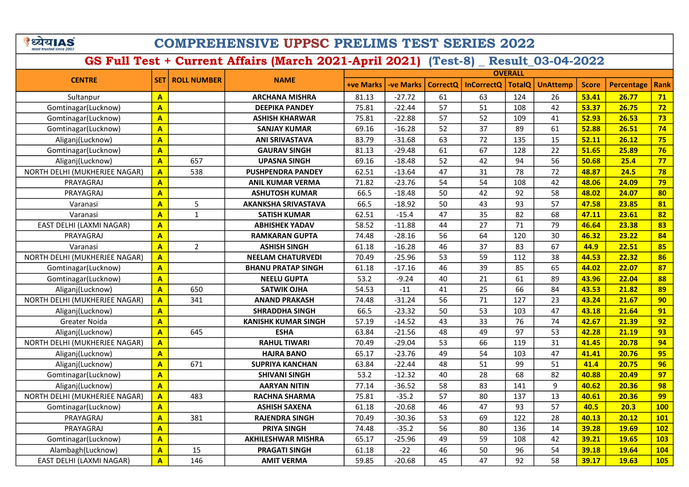| पय।A                    |  |
|-------------------------|--|
| most trusted since 2003 |  |

## COMPREHENSIVE UPPSC PRELIMS TEST SERIES 2022

|                               |                         |                    |                            | <b>OVERALL</b>   |                 |          |                   |               |                 |              |            |            |
|-------------------------------|-------------------------|--------------------|----------------------------|------------------|-----------------|----------|-------------------|---------------|-----------------|--------------|------------|------------|
| <b>CENTRE</b>                 | <b>SET</b>              | <b>ROLL NUMBER</b> | <b>NAME</b>                | <b>+ve Marks</b> | <b>ve Marks</b> | CorrectQ | <b>InCorrectQ</b> | <b>TotalQ</b> | <b>UnAttemp</b> | <b>Score</b> | Percentage | Rank       |
| Sultanpur                     | $\overline{\mathbf{A}}$ |                    | <b>ARCHANA MISHRA</b>      | 81.13            | $-27.72$        | 61       | 63                | 124           | 26              | 53.41        | 26.77      | 71         |
| Gomtinagar(Lucknow)           | $\overline{\mathbf{A}}$ |                    | <b>DEEPIKA PANDEY</b>      | 75.81            | $-22.44$        | 57       | 51                | 108           | 42              | 53.37        | 26.75      | 72         |
| Gomtinagar(Lucknow)           | $\overline{A}$          |                    | <b>ASHISH KHARWAR</b>      | 75.81            | $-22.88$        | 57       | 52                | 109           | 41              | 52.93        | 26.53      | 73         |
| Gomtinagar(Lucknow)           | $\mathbf{A}$            |                    | <b>SANJAY KUMAR</b>        | 69.16            | $-16.28$        | 52       | 37                | 89            | 61              | 52.88        | 26.51      | 74         |
| Aliganj(Lucknow)              | $\overline{A}$          |                    | <b>ANI SRIVASTAVA</b>      | 83.79            | $-31.68$        | 63       | 72                | 135           | 15              | 52.11        | 26.12      | 75         |
| Gomtinagar(Lucknow)           | $\overline{\mathbf{A}}$ |                    | <b>GAURAV SINGH</b>        | 81.13            | $-29.48$        | 61       | 67                | 128           | 22              | 51.65        | 25.89      | 76         |
| Aliganj(Lucknow)              | $\overline{\mathbf{A}}$ | 657                | <b>UPASNA SINGH</b>        | 69.16            | $-18.48$        | 52       | 42                | 94            | 56              | 50.68        | 25.4       | 77         |
| NORTH DELHI (MUKHERJEE NAGAR) | $\mathbf{A}$            | 538                | <b>PUSHPENDRA PANDEY</b>   | 62.51            | $-13.64$        | 47       | 31                | 78            | 72              | 48.87        | 24.5       | 78         |
| PRAYAGRAJ                     | $\overline{\mathbf{A}}$ |                    | <b>ANIL KUMAR VERMA</b>    | 71.82            | $-23.76$        | 54       | 54                | 108           | 42              | 48.06        | 24.09      | 79         |
| PRAYAGRAJ                     | $\mathbf{A}$            |                    | <b>ASHUTOSH KUMAR</b>      | 66.5             | $-18.48$        | 50       | 42                | 92            | 58              | 48.02        | 24.07      | 80         |
| Varanasi                      | $\overline{\mathbf{A}}$ | 5                  | <b>AKANKSHA SRIVASTAVA</b> | 66.5             | $-18.92$        | 50       | 43                | 93            | 57              | 47.58        | 23.85      | 81         |
| Varanasi                      | $\mathbf{A}$            | $\mathbf 1$        | <b>SATISH KUMAR</b>        | 62.51            | $-15.4$         | 47       | 35                | 82            | 68              | 47.11        | 23.61      | 82         |
| EAST DELHI (LAXMI NAGAR)      | $\overline{\mathbf{A}}$ |                    | <b>ABHISHEK YADAV</b>      | 58.52            | $-11.88$        | 44       | 27                | 71            | 79              | 46.64        | 23.38      | 83         |
| PRAYAGRAJ                     | $\overline{A}$          |                    | <b>RAMKARAN GUPTA</b>      | 74.48            | $-28.16$        | 56       | 64                | 120           | 30              | 46.32        | 23.22      | 84         |
| Varanasi                      | $\overline{\mathbf{A}}$ | $\overline{2}$     | <b>ASHISH SINGH</b>        | 61.18            | $-16.28$        | 46       | 37                | 83            | 67              | 44.9         | 22.51      | 85         |
| NORTH DELHI (MUKHERJEE NAGAR) | $\overline{\mathbf{A}}$ |                    | <b>NEELAM CHATURVEDI</b>   | 70.49            | $-25.96$        | 53       | 59                | 112           | 38              | 44.53        | 22.32      | 86         |
| Gomtinagar(Lucknow)           | $\overline{\mathbf{A}}$ |                    | <b>BHANU PRATAP SINGH</b>  | 61.18            | $-17.16$        | 46       | 39                | 85            | 65              | 44.02        | 22.07      | 87         |
| Gomtinagar(Lucknow)           | $\overline{\mathbf{A}}$ |                    | <b>NEELU GUPTA</b>         | 53.2             | $-9.24$         | 40       | 21                | 61            | 89              | 43.96        | 22.04      | 88         |
| Aliganj(Lucknow)              | $\overline{\mathbf{A}}$ | 650                | <b>SATWIK OJHA</b>         | 54.53            | $-11$           | 41       | 25                | 66            | 84              | 43.53        | 21.82      | 89         |
| NORTH DELHI (MUKHERJEE NAGAR) | $\overline{A}$          | 341                | <b>ANAND PRAKASH</b>       | 74.48            | $-31.24$        | 56       | 71                | 127           | 23              | 43.24        | 21.67      | 90         |
| Aliganj(Lucknow)              | $\overline{A}$          |                    | <b>SHRADDHA SINGH</b>      | 66.5             | $-23.32$        | 50       | 53                | 103           | 47              | 43.18        | 21.64      | 91         |
| Greater Noida                 | $\overline{\mathbf{A}}$ |                    | <b>KANISHK KUMAR SINGH</b> | 57.19            | $-14.52$        | 43       | 33                | 76            | 74              | 42.67        | 21.39      | 92         |
| Aliganj(Lucknow)              | $\overline{\mathbf{A}}$ | 645                | <b>ESHA</b>                | 63.84            | $-21.56$        | 48       | 49                | 97            | 53              | 42.28        | 21.19      | 93         |
| NORTH DELHI (MUKHERJEE NAGAR) | $\overline{A}$          |                    | <b>RAHUL TIWARI</b>        | 70.49            | $-29.04$        | 53       | 66                | 119           | 31              | 41.45        | 20.78      | 94         |
| Aliganj(Lucknow)              | $\overline{\mathbf{A}}$ |                    | <b>HAJRA BANO</b>          | 65.17            | $-23.76$        | 49       | 54                | 103           | 47              | 41.41        | 20.76      | 95         |
| Aliganj(Lucknow)              | $\overline{\mathbf{A}}$ | 671                | <b>SUPRIYA KANCHAN</b>     | 63.84            | $-22.44$        | 48       | 51                | 99            | 51              | 41.4         | 20.75      | 96         |
| Gomtinagar(Lucknow)           | $\overline{\mathbf{A}}$ |                    | <b>SHIVANI SINGH</b>       | 53.2             | $-12.32$        | 40       | 28                | 68            | 82              | 40.88        | 20.49      | 97         |
| Aliganj(Lucknow)              | $\overline{\mathbf{A}}$ |                    | <b>AARYAN NITIN</b>        | 77.14            | $-36.52$        | 58       | 83                | 141           | 9               | 40.62        | 20.36      | 98         |
| NORTH DELHI (MUKHERJEE NAGAR) | $\overline{\mathbf{A}}$ | 483                | <b>RACHNA SHARMA</b>       | 75.81            | $-35.2$         | 57       | 80                | 137           | 13              | 40.61        | 20.36      | 99         |
| Gomtinagar(Lucknow)           | $\overline{\mathbf{A}}$ |                    | <b>ASHISH SAXENA</b>       | 61.18            | $-20.68$        | 46       | 47                | 93            | 57              | 40.5         | 20.3       | <b>100</b> |
| PRAYAGRAJ                     | $\overline{\mathbf{A}}$ | 381                | <b>RAJENDRA SINGH</b>      | 70.49            | $-30.36$        | 53       | 69                | 122           | 28              | 40.13        | 20.12      | <b>101</b> |
| PRAYAGRAJ                     | $\overline{\mathbf{A}}$ |                    | <b>PRIYA SINGH</b>         | 74.48            | $-35.2$         | 56       | 80                | 136           | 14              | 39.28        | 19.69      | 102        |
| Gomtinagar(Lucknow)           | $\mathbf{A}$            |                    | <b>AKHILESHWAR MISHRA</b>  | 65.17            | $-25.96$        | 49       | 59                | 108           | 42              | 39.21        | 19.65      | <b>103</b> |
| Alambagh(Lucknow)             | $\mathbf{A}$            | 15                 | <b>PRAGATI SINGH</b>       | 61.18            | $-22$           | 46       | 50                | 96            | 54              | 39.18        | 19.64      | <b>104</b> |
| EAST DELHI (LAXMI NAGAR)      | $\overline{\mathbf{A}}$ | 146                | <b>AMIT VERMA</b>          | 59.85            | $-20.68$        | 45       | 47                | 92            | 58              | 39.17        | 19.63      | <b>105</b> |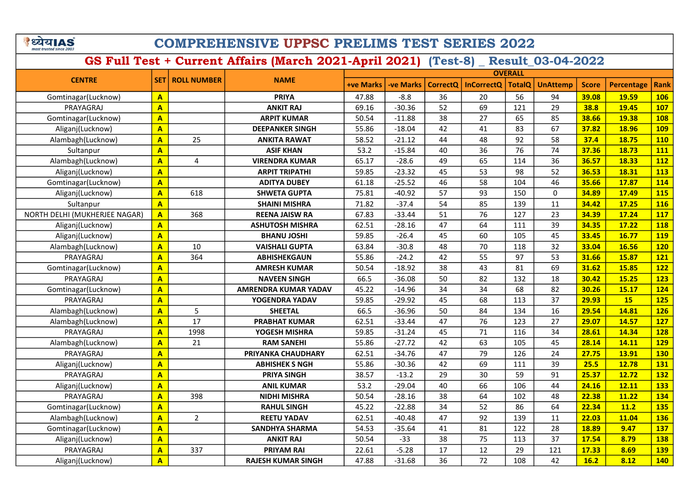े ध्येय AS

## COMPREHENSIVE UPPSC PRELIMS TEST SERIES 2022

| <b>CENTRE</b>                 |                         | <b>ROLL NUMBER</b> | <b>NAME</b>                 | <b>OVERALL</b>   |           |          |                   |                 |                 |              |                   |             |  |
|-------------------------------|-------------------------|--------------------|-----------------------------|------------------|-----------|----------|-------------------|-----------------|-----------------|--------------|-------------------|-------------|--|
|                               | <b>SET</b>              |                    |                             | <b>+ve Marks</b> | -ve Marks | CorrectQ | <b>InCorrectQ</b> | <b>TotalQ</b>   | <b>UnAttemp</b> | <b>Score</b> | <b>Percentage</b> | <b>Rank</b> |  |
| Gomtinagar(Lucknow)           | $\overline{A}$          |                    | <b>PRIYA</b>                | 47.88            | $-8.8$    | 36       | 20                | 56              | 94              | 39.08        | 19.59             | <b>106</b>  |  |
| PRAYAGRAJ                     | $\mathbf{A}$            |                    | <b>ANKIT RAJ</b>            | 69.16            | $-30.36$  | 52       | 69                | 121             | 29              | 38.8         | 19.45             | <b>107</b>  |  |
| Gomtinagar(Lucknow)           | $\overline{A}$          |                    | <b>ARPIT KUMAR</b>          | 50.54            | $-11.88$  | 38       | 27                | 65              | 85              | 38.66        | 19.38             | <b>108</b>  |  |
| Aliganj(Lucknow)              | $\mathbf{A}$            |                    | <b>DEEPANKER SINGH</b>      | 55.86            | $-18.04$  | 42       | 41                | 83              | 67              | 37.82        | 18.96             | <b>109</b>  |  |
| Alambagh(Lucknow)             | $\overline{\mathbf{A}}$ | 25                 | <b>ANKITA RAWAT</b>         | 58.52            | $-21.12$  | 44       | 48                | 92              | 58              | 37.4         | 18.75             | <b>110</b>  |  |
| Sultanpur                     | $\overline{A}$          |                    | <b>ASIF KHAN</b>            | 53.2             | $-15.84$  | 40       | 36                | 76              | 74              | 37.36        | 18.73             | 111         |  |
| Alambagh(Lucknow)             | $\overline{\mathbf{A}}$ | $\overline{4}$     | <b>VIRENDRA KUMAR</b>       | 65.17            | $-28.6$   | 49       | 65                | 114             | 36              | 36.57        | 18.33             | <b>112</b>  |  |
| Aliganj(Lucknow)              | $\mathbf{A}$            |                    | <b>ARPIT TRIPATHI</b>       | 59.85            | $-23.32$  | 45       | 53                | 98              | 52              | 36.53        | 18.31             | 113         |  |
| Gomtinagar(Lucknow)           | $\overline{\mathbf{A}}$ |                    | <b>ADITYA DUBEY</b>         | 61.18            | $-25.52$  | 46       | 58                | 104             | 46              | 35.66        | 17.87             | 114         |  |
| Aliganj(Lucknow)              | $\overline{\mathbf{A}}$ | 618                | <b>SHWETA GUPTA</b>         | 75.81            | $-40.92$  | 57       | 93                | 150             | 0               | 34.89        | 17.49             | <b>115</b>  |  |
| Sultanpur                     | $\overline{A}$          |                    | <b>SHAINI MISHRA</b>        | 71.82            | $-37.4$   | 54       | 85                | 139             | 11              | 34.42        | 17.25             | <b>116</b>  |  |
| NORTH DELHI (MUKHERJEE NAGAR) | $\overline{\mathbf{A}}$ | 368                | <b>REENA JAISW RA</b>       | 67.83            | $-33.44$  | 51       | 76                | 127             | 23              | 34.39        | 17.24             | 117         |  |
| Aliganj(Lucknow)              | $\overline{\mathbf{A}}$ |                    | <b>ASHUTOSH MISHRA</b>      | 62.51            | $-28.16$  | 47       | 64                | 111             | 39              | 34.35        | 17.22             | <b>118</b>  |  |
| Aliganj(Lucknow)              | $\overline{\mathbf{A}}$ |                    | <b>BHANU JOSHI</b>          | 59.85            | $-26.4$   | 45       | 60                | 105             | 45              | 33.45        | 16.77             | <b>119</b>  |  |
| Alambagh(Lucknow)             | $\overline{\mathbf{A}}$ | 10                 | <b>VAISHALI GUPTA</b>       | 63.84            | $-30.8$   | 48       | 70                | 118             | 32              | 33.04        | 16.56             | <b>120</b>  |  |
| PRAYAGRAJ                     | $\overline{A}$          | 364                | <b>ABHISHEKGAUN</b>         | 55.86            | $-24.2$   | 42       | $\overline{55}$   | $\overline{97}$ | $\overline{53}$ | 31.66        | 15.87             | 121         |  |
| Gomtinagar(Lucknow)           | $\overline{\mathbf{A}}$ |                    | <b>AMRESH KUMAR</b>         | 50.54            | $-18.92$  | 38       | 43                | 81              | 69              | 31.62        | 15.85             | 122         |  |
| PRAYAGRAJ                     | $\overline{\mathbf{A}}$ |                    | <b>NAVEEN SINGH</b>         | 66.5             | $-36.08$  | 50       | 82                | 132             | 18              | 30.42        | 15.25             | <b>123</b>  |  |
| Gomtinagar(Lucknow)           | $\overline{\mathbf{A}}$ |                    | <b>AMRENDRA KUMAR YADAV</b> | 45.22            | $-14.96$  | 34       | 34                | 68              | 82              | 30.26        | 15.17             | 124         |  |
| PRAYAGRAJ                     | $\mathbf{A}$            |                    | YOGENDRA YADAV              | 59.85            | $-29.92$  | 45       | 68                | 113             | 37              | 29.93        | <b>15</b>         | 125         |  |
| Alambagh(Lucknow)             | $\overline{\mathbf{A}}$ | 5                  | <b>SHEETAL</b>              | 66.5             | $-36.96$  | 50       | 84                | 134             | 16              | 29.54        | 14.81             | <b>126</b>  |  |
| Alambagh(Lucknow)             | $\overline{\mathbf{A}}$ | 17                 | <b>PRABHAT KUMAR</b>        | 62.51            | $-33.44$  | 47       | 76                | 123             | 27              | 29.07        | 14.57             | <b>127</b>  |  |
| PRAYAGRAJ                     | $\overline{\mathbf{A}}$ | 1998               | YOGESH MISHRA               | 59.85            | $-31.24$  | 45       | 71                | 116             | 34              | 28.61        | 14.34             | <b>128</b>  |  |
| Alambagh(Lucknow)             | $\overline{\mathbf{A}}$ | 21                 | <b>RAM SANEHI</b>           | 55.86            | $-27.72$  | 42       | 63                | 105             | 45              | 28.14        | 14.11             | <b>129</b>  |  |
| PRAYAGRAJ                     | $\overline{\mathbf{A}}$ |                    | PRIYANKA CHAUDHARY          | 62.51            | $-34.76$  | 47       | 79                | 126             | 24              | 27.75        | 13.91             | <b>130</b>  |  |
| Aliganj(Lucknow)              | $\overline{\mathbf{A}}$ |                    | <b>ABHISHEK S NGH</b>       | 55.86            | $-30.36$  | 42       | 69                | 111             | 39              | 25.5         | 12.78             | 131         |  |
| PRAYAGRAJ                     | $\mathbf{A}$            |                    | <b>PRIYA SINGH</b>          | 38.57            | $-13.2$   | 29       | 30                | 59              | 91              | 25.37        | 12.72             | <b>132</b>  |  |
| Aliganj(Lucknow)              | $\overline{A}$          |                    | <b>ANIL KUMAR</b>           | 53.2             | $-29.04$  | 40       | 66                | 106             | 44              | 24.16        | 12.11             | 133         |  |
| PRAYAGRAJ                     | $\overline{\mathbf{A}}$ | 398                | <b>NIDHI MISHRA</b>         | 50.54            | $-28.16$  | 38       | 64                | 102             | 48              | 22.38        | 11.22             | 134         |  |
| Gomtinagar(Lucknow)           | $\mathbf{A}$            |                    | <b>RAHUL SINGH</b>          | 45.22            | $-22.88$  | 34       | 52                | 86              | 64              | 22.34        | 11.2              | <b>135</b>  |  |
| Alambagh(Lucknow)             | $\overline{\mathsf{A}}$ | $\overline{2}$     | <b>REETU YADAV</b>          | 62.51            | $-40.48$  | 47       | 92                | 139             | 11              | 22.03        | 11.04             | <b>136</b>  |  |
| Gomtinagar(Lucknow)           | $\mathbf{A}$            |                    | <b>SANDHYA SHARMA</b>       | 54.53            | $-35.64$  | 41       | 81                | 122             | 28              | 18.89        | 9.47              | 137         |  |
| Aliganj(Lucknow)              | $\overline{\mathsf{A}}$ |                    | <b>ANKIT RAJ</b>            | 50.54            | $-33$     | 38       | 75                | 113             | 37              | 17.54        | 8.79              | <b>138</b>  |  |
| PRAYAGRAJ                     | $\mathbf{A}$            | 337                | <b>PRIYAM RAI</b>           | 22.61            | $-5.28$   | 17       | 12                | 29              | 121             | 17.33        | 8.69              | <b>139</b>  |  |
| Aliganj(Lucknow)              | $\overline{\mathsf{A}}$ |                    | <b>RAJESH KUMAR SINGH</b>   | 47.88            | $-31.68$  | 36       | 72                | 108             | 42              | 16.2         | 8.12              | 140         |  |